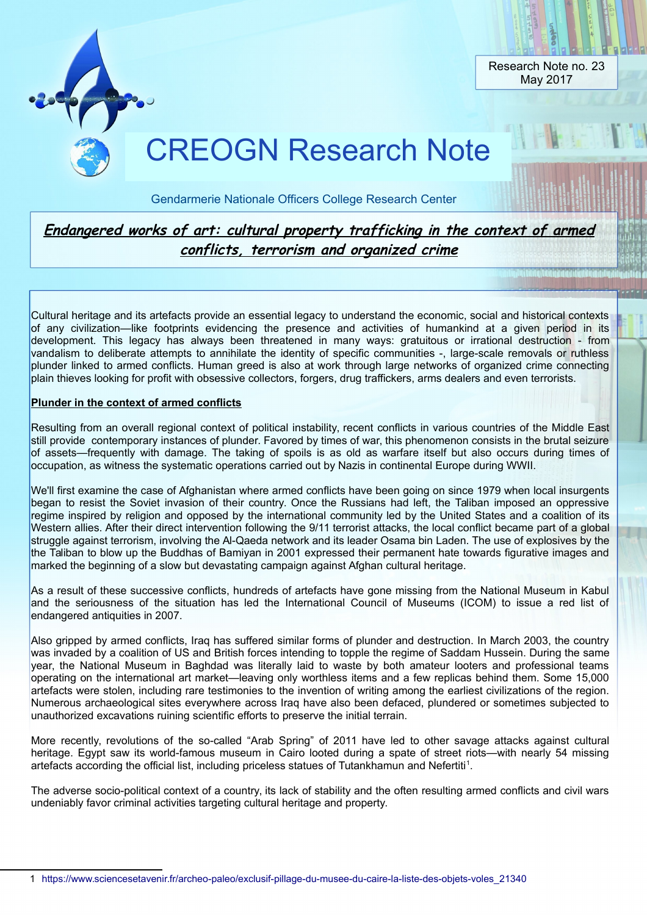

Gendarmerie Nationale Officers College Research Center

# **Endangered works of art: cultural property trafficking in the context of armed conflicts, terrorism and organized crime**

Cultural heritage and its artefacts provide an essential legacy to understand the economic, social and historical contexts of any civilization—like footprints evidencing the presence and activities of humankind at a given period in its development. This legacy has always been threatened in many ways: gratuitous or irrational destruction - from vandalism to deliberate attempts to annihilate the identity of specific communities -, large-scale removals or ruthless plunder linked to armed conflicts. Human greed is also at work through large networks of organized crime connecting plain thieves looking for profit with obsessive collectors, forgers, drug traffickers, arms dealers and even terrorists.

## **Plunder in the context of armed conflicts**

Resulting from an overall regional context of political instability, recent conflicts in various countries of the Middle East still provide contemporary instances of plunder. Favored by times of war, this phenomenon consists in the brutal seizure of assets—frequently with damage. The taking of spoils is as old as warfare itself but also occurs during times of occupation, as witness the systematic operations carried out by Nazis in continental Europe during WWII.

We'll first examine the case of Afghanistan where armed conflicts have been going on since 1979 when local insurgents began to resist the Soviet invasion of their country. Once the Russians had left, the Taliban imposed an oppressive regime inspired by religion and opposed by the international community led by the United States and a coalition of its Western allies. After their direct intervention following the 9/11 terrorist attacks, the local conflict became part of a global struggle against terrorism, involving the Al-Qaeda network and its leader Osama bin Laden. The use of explosives by the the Taliban to blow up the Buddhas of Bamiyan in 2001 expressed their permanent hate towards figurative images and marked the beginning of a slow but devastating campaign against Afghan cultural heritage.

As a result of these successive conflicts, hundreds of artefacts have gone missing from the National Museum in Kabul and the seriousness of the situation has led the International Council of Museums (ICOM) to issue a red list of endangered antiquities in 2007.

Also gripped by armed conflicts, Iraq has suffered similar forms of plunder and destruction. In March 2003, the country was invaded by a coalition of US and British forces intending to topple the regime of Saddam Hussein. During the same year, the National Museum in Baghdad was literally laid to waste by both amateur looters and professional teams operating on the international art market—leaving only worthless items and a few replicas behind them. Some 15,000 artefacts were stolen, including rare testimonies to the invention of writing among the earliest civilizations of the region. Numerous archaeological sites everywhere across Iraq have also been defaced, plundered or sometimes subjected to unauthorized excavations ruining scientific efforts to preserve the initial terrain.

More recently, revolutions of the so-called "Arab Spring" of 2011 have led to other savage attacks against cultural heritage. Egypt saw its world-famous museum in Cairo looted during a spate of street riots—with nearly 54 missing artefacts according the official list, including priceless statues of Tutankhamun and Nefertiti<sup>[1](#page-0-0)</sup>.

The adverse socio-political context of a country, its lack of stability and the often resulting armed conflicts and civil wars undeniably favor criminal activities targeting cultural heritage and property.

<span id="page-0-0"></span><sup>1</sup> https://www.sciencesetavenir.fr/archeo-paleo/exclusif-pillage-du-musee-du-caire-la-liste-des-objets-voles\_21340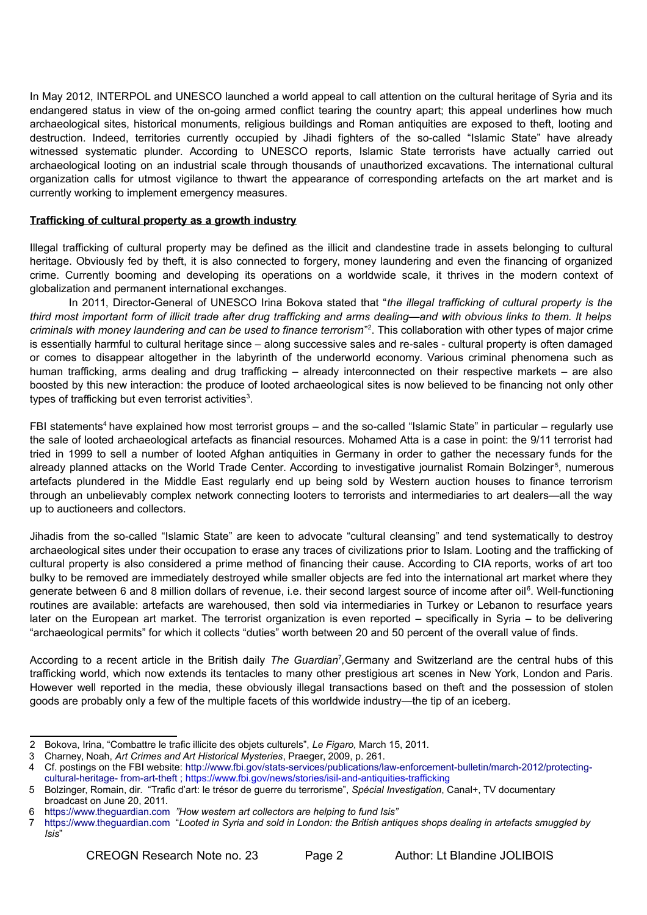In May 2012, INTERPOL and UNESCO launched a world appeal to call attention on the cultural heritage of Syria and its endangered status in view of the on-going armed conflict tearing the country apart; this appeal underlines how much archaeological sites, historical monuments, religious buildings and Roman antiquities are exposed to theft, looting and destruction. Indeed, territories currently occupied by Jihadi fighters of the so-called "Islamic State" have already witnessed systematic plunder. According to UNESCO reports, Islamic State terrorists have actually carried out archaeological looting on an industrial scale through thousands of unauthorized excavations. The international cultural organization calls for utmost vigilance to thwart the appearance of corresponding artefacts on the art market and is currently working to implement emergency measures.

#### **Trafficking of cultural property as a growth industry**

Illegal trafficking of cultural property may be defined as the illicit and clandestine trade in assets belonging to cultural heritage. Obviously fed by theft, it is also connected to forgery, money laundering and even the financing of organized crime. Currently booming and developing its operations on a worldwide scale, it thrives in the modern context of globalization and permanent international exchanges.

In 2011, Director-General of UNESCO Irina Bokova stated that "*the illegal trafficking of cultural property is the third most important form of illicit trade after drug trafficking and arms dealing—and with obvious links to them. It helps* criminals with money laundering and can be used to finance terrorism"<sup>[2](#page-1-0)</sup>. This collaboration with other types of major crime is essentially harmful to cultural heritage since – along successive sales and re-sales - cultural property is often damaged or comes to disappear altogether in the labyrinth of the underworld economy. Various criminal phenomena such as human trafficking, arms dealing and drug trafficking – already interconnected on their respective markets – are also boosted by this new interaction: the produce of looted archaeological sites is now believed to be financing not only other types of trafficking but even terrorist activities<sup>[3](#page-1-1)</sup>.

FBI statements<sup>[4](#page-1-2)</sup> have explained how most terrorist groups – and the so-called "Islamic State" in particular – regularly use the sale of looted archaeological artefacts as financial resources. Mohamed Atta is a case in point: the 9/11 terrorist had tried in 1999 to sell a number of looted Afghan antiquities in Germany in order to gather the necessary funds for the already planned attacks on the World Trade Center. According to investigative journalist Romain Bolzinger<sup>[5](#page-1-3)</sup>, numerous artefacts plundered in the Middle East regularly end up being sold by Western auction houses to finance terrorism through an unbelievably complex network connecting looters to terrorists and intermediaries to art dealers—all the way up to auctioneers and collectors.

Jihadis from the so-called "Islamic State" are keen to advocate "cultural cleansing" and tend systematically to destroy archaeological sites under their occupation to erase any traces of civilizations prior to Islam. Looting and the trafficking of cultural property is also considered a prime method of financing their cause. According to CIA reports, works of art too bulky to be removed are immediately destroyed while smaller objects are fed into the international art market where they generate between [6](#page-1-4) and 8 million dollars of revenue, i.e. their second largest source of income after oil<sup>6</sup>. Well-functioning routines are available: artefacts are warehoused, then sold via intermediaries in Turkey or Lebanon to resurface years later on the European art market. The terrorist organization is even reported – specifically in Syria – to be delivering "archaeological permits" for which it collects "duties" worth between 20 and 50 percent of the overall value of finds.

According to a recent article in the British daily *The Guardian<sup>[7](#page-1-5)</sup>*,Germany and Switzerland are the central hubs of this trafficking world, which now extends its tentacles to many other prestigious art scenes in New York, London and Paris. However well reported in the media, these obviously illegal transactions based on theft and the possession of stolen goods are probably only a few of the multiple facets of this worldwide industry—the tip of an iceberg.

<span id="page-1-0"></span><sup>2</sup> Bokova, Irina, "Combattre le trafic illicite des objets culturels", *Le Figaro,* March 15, 2011.

<span id="page-1-1"></span><sup>3</sup> Charney, Noah, *Art Crimes and Art Historical Mysteries*, Praeger, 2009, p. 261.

<span id="page-1-2"></span><sup>4</sup> Cf. postings on the FBI website: http://www.fbi.gov/stats-services/publications/law-enforcement-bulletin/march-2012/protectingcultural-heritage- from-art-theft ; https://www.fbi.gov/news/stories/isil-and-antiquities-trafficking

<span id="page-1-3"></span><sup>5</sup> Bolzinger, Romain, dir. "Trafic d'art: le trésor de guerre du terrorisme", *Spécial Investigation*, Canal+, TV documentary broadcast on June 20, 2011.

<span id="page-1-4"></span><sup>6</sup> https://www.theguardian.com *"How western art collectors are helping to fund Isis"*

<span id="page-1-5"></span><sup>7</sup> https://www.theguardian.com "*Looted in Syria and sold in London: the British antiques shops dealing in artefacts smuggled by Isis*"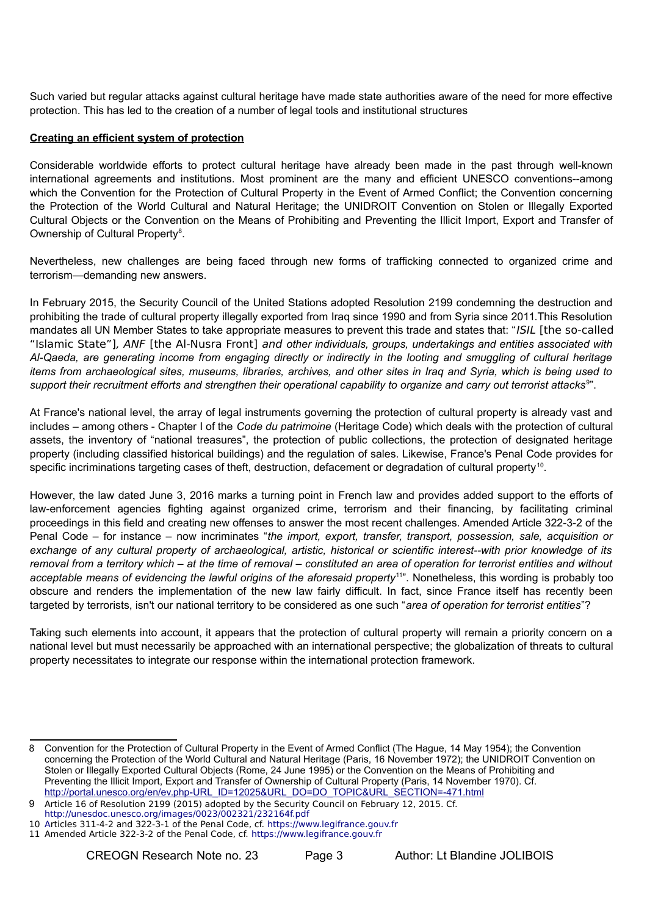Such varied but regular attacks against cultural heritage have made state authorities aware of the need for more effective protection. This has led to the creation of a number of legal tools and institutional structures

### **Creating an efficient system of protection**

Considerable worldwide efforts to protect cultural heritage have already been made in the past through well-known international agreements and institutions. Most prominent are the many and efficient UNESCO conventions--among which the Convention for the Protection of Cultural Property in the Event of Armed Conflict; the Convention concerning the Protection of the World Cultural and Natural Heritage; the UNIDROIT Convention on Stolen or Illegally Exported Cultural Objects or the Convention on the Means of Prohibiting and Preventing the Illicit Import, Export and Transfer of Ownership of Cultural Property<sup>[8](#page-2-0)</sup>.

Nevertheless, new challenges are being faced through new forms of trafficking connected to organized crime and terrorism—demanding new answers.

In February 2015, the Security Council of the United Stations adopted Resolution 2199 condemning the destruction and prohibiting the trade of cultural property illegally exported from Iraq since 1990 and from Syria since 2011.This Resolution mandates all UN Member States to take appropriate measures to prevent this trade and states that: "ISIL [the so-called "Islamic State"], ANF [the Al-Nusra Front] and *other individuals, groups, undertakings and entities associated with Al-Qaeda, are generating income from engaging directly or indirectly in the looting and smuggling of cultural heritage items from archaeological sites, museums, libraries, archives, and other sites in Iraq and Syria, which is being used to support their recruitment efforts and strengthen their operational capability to organize and carry out terrorist attacks*[9](#page-2-1) ".

At France's national level, the array of legal instruments governing the protection of cultural property is already vast and includes – among others - Chapter I of the *Code du patrimoine* (Heritage Code) which deals with the protection of cultural assets, the inventory of "national treasures", the protection of public collections, the protection of designated heritage property (including classified historical buildings) and the regulation of sales. Likewise, France's Penal Code provides for specific incriminations targeting cases of theft, destruction, defacement or degradation of cultural property<sup>[10](#page-2-2)</sup>.

However, the law dated June 3, 2016 marks a turning point in French law and provides added support to the efforts of law-enforcement agencies fighting against organized crime, terrorism and their financing, by facilitating criminal proceedings in this field and creating new offenses to answer the most recent challenges. Amended Article 322-3-2 of the Penal Code – for instance – now incriminates "*the import, export, transfer, transport, possession, sale, acquisition or exchange of any cultural property of archaeological, artistic, historical or scientific interest--with prior knowledge of its removal from a territory which – at the time of removal – constituted an area of operation for terrorist entities and without acceptable means of evidencing the lawful origins of the aforesaid property*[11](#page-2-3)". Nonetheless, this wording is probably too obscure and renders the implementation of the new law fairly difficult. In fact, since France itself has recently been targeted by terrorists, isn't our national territory to be considered as one such "*area of operation for terrorist entities*"?

Taking such elements into account, it appears that the protection of cultural property will remain a priority concern on a national level but must necessarily be approached with an international perspective; the globalization of threats to cultural property necessitates to integrate our response within the international protection framework.

<span id="page-2-0"></span><sup>8</sup> Convention for the Protection of Cultural Property in the Event of Armed Conflict (The Hague, 14 May 1954); the Convention concerning the Protection of the World Cultural and Natural Heritage (Paris, 16 November 1972); the UNIDROIT Convention on Stolen or Illegally Exported Cultural Objects (Rome, 24 June 1995) or the Convention on the Means of Prohibiting and Preventing the Illicit Import, Export and Transfer of Ownership of Cultural Property (Paris, 14 November 1970). Cf. [http://portal.unesco.org/en/ev.php-URL\\_ID=12025&URL\\_DO=DO\\_TOPIC&URL\\_SECTION=-471.html](http://portal.unesco.org/en/ev.php-URL_ID=12025&URL_DO=DO_TOPIC&URL_SECTION=-471.html)

<span id="page-2-1"></span><sup>9</sup> Article 16 of Resolution 2199 (2015) adopted by the Security Council on February 12, 2015. Cf.

http://unesdoc.unesco.org/images/0023/002321/232164f.pdf 10 Articles 311-4-2 and 322-3-1 of the Penal Code, cf. https://www.legifrance.gouv.fr

<span id="page-2-3"></span><span id="page-2-2"></span><sup>11</sup> Amended Article 322-3-2 of the Penal Code, cf. https://www.legifrance.gouv.fr